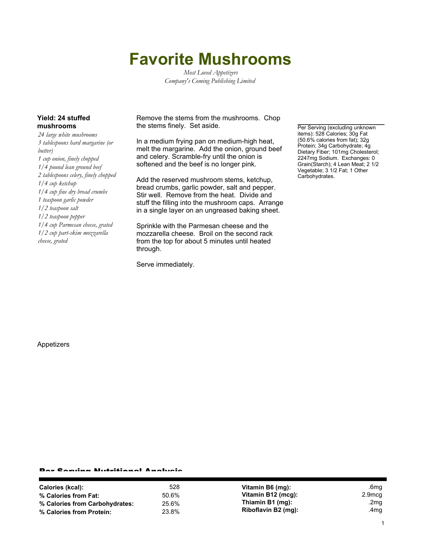## **Favorite Mushrooms**

*Most Loved Appetizers Company's Coming Publishing Limited*

## **Yield: 24 stuffed mushrooms**

*24 large white mushrooms 3 tablespoons hard margarine (or butter) 1 cup onion, finely chopped 1/4 pound lean ground beef 2 tablespoons celery, finely chopped 1/4 cup ketchup 1/4 cup fine dry bread crumbs 1 teaspoon garlic powder 1/2 teaspoon salt 1/2 teaspoon pepper 1/4 cup Parmesan cheese, grated 1/2 cup part-skim mozzarella cheese, grated*

Remove the stems from the mushrooms. Chop the stems finely. Set aside.

In a medium frying pan on medium-high heat, melt the margarine. Add the onion, ground beef and celery. Scramble-fry until the onion is softened and the beef is no longer pink.

Add the reserved mushroom stems, ketchup, bread crumbs, garlic powder, salt and pepper. Stir well. Remove from the heat. Divide and stuff the filling into the mushroom caps. Arrange in a single layer on an ungreased baking sheet.

Sprinkle with the Parmesan cheese and the mozzarella cheese. Broil on the second rack from the top for about 5 minutes until heated through.

Serve immediately.

Per Serving (excluding unknown items): 528 Calories; 30g Fat (50.6% calories from fat); 32g Protein; 34g Carbohydrate; 4g Dietary Fiber; 101mg Cholesterol; 2247mg Sodium. Exchanges: 0 Grain(Starch); 4 Lean Meat; 2 1/2 Vegetable; 3 1/2 Fat; 1 Other Carbohydrates.

Appetizers

## Per Serving Nutritional Analysis

| Calories (kcal):               | 528   | Vitamin B6 (mq):    | .6mg   |
|--------------------------------|-------|---------------------|--------|
| % Calories from Fat:           | 50.6% | Vitamin B12 (mcg):  | 2.9mcg |
| % Calories from Carbohydrates: | 25.6% | Thiamin B1 (mg):    | .2mg   |
| % Calories from Protein:       | 23.8% | Riboflavin B2 (mg): | .4mg   |